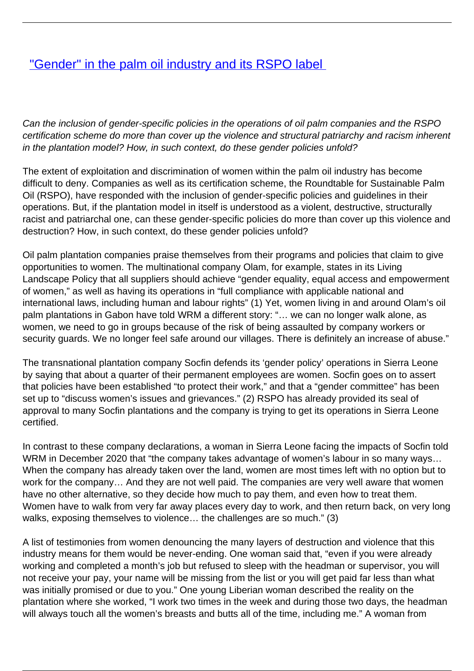## ["Gender" in the palm oil industry and its RSPO label](/bulletin-articles/gender-in-the-palm-oil-industry-and-its-rspo-label)

Can the inclusion of gender-specific policies in the operations of oil palm companies and the RSPO certification scheme do more than cover up the violence and structural patriarchy and racism inherent in the plantation model? How, in such context, do these gender policies unfold?

The extent of exploitation and discrimination of women within the palm oil industry has become difficult to deny. Companies as well as its certification scheme, the Roundtable for Sustainable Palm Oil (RSPO), have responded with the inclusion of gender-specific policies and guidelines in their operations. But, if the plantation model in itself is understood as a violent, destructive, structurally racist and patriarchal one, can these gender-specific policies do more than cover up this violence and destruction? How, in such context, do these gender policies unfold?

Oil palm plantation companies praise themselves from their programs and policies that claim to give opportunities to women. The multinational company Olam, for example, states in its Living Landscape Policy that all suppliers should achieve "gender equality, equal access and empowerment of women," as well as having its operations in "full compliance with applicable national and international laws, including human and labour rights" (1) Yet, women living in and around Olam's oil palm plantations in Gabon have told WRM a different story: "… we can no longer walk alone, as women, we need to go in groups because of the risk of being assaulted by company workers or security guards. We no longer feel safe around our villages. There is definitely an increase of abuse."

The transnational plantation company Socfin defends its 'gender policy' operations in Sierra Leone by saying that about a quarter of their permanent employees are women. Socfin goes on to assert that policies have been established "to protect their work," and that a "gender committee" has been set up to "discuss women's issues and grievances." (2) RSPO has already provided its seal of approval to many Socfin plantations and the company is trying to get its operations in Sierra Leone certified.

In contrast to these company declarations, a woman in Sierra Leone facing the impacts of Socfin told WRM in December 2020 that "the company takes advantage of women's labour in so many ways... When the company has already taken over the land, women are most times left with no option but to work for the company… And they are not well paid. The companies are very well aware that women have no other alternative, so they decide how much to pay them, and even how to treat them. Women have to walk from very far away places every day to work, and then return back, on very long walks, exposing themselves to violence… the challenges are so much." (3)

A list of testimonies from women denouncing the many layers of destruction and violence that this industry means for them would be never-ending. One woman said that, "even if you were already working and completed a month's job but refused to sleep with the headman or supervisor, you will not receive your pay, your name will be missing from the list or you will get paid far less than what was initially promised or due to you." One young Liberian woman described the reality on the plantation where she worked, "I work two times in the week and during those two days, the headman will always touch all the women's breasts and butts all of the time, including me." A woman from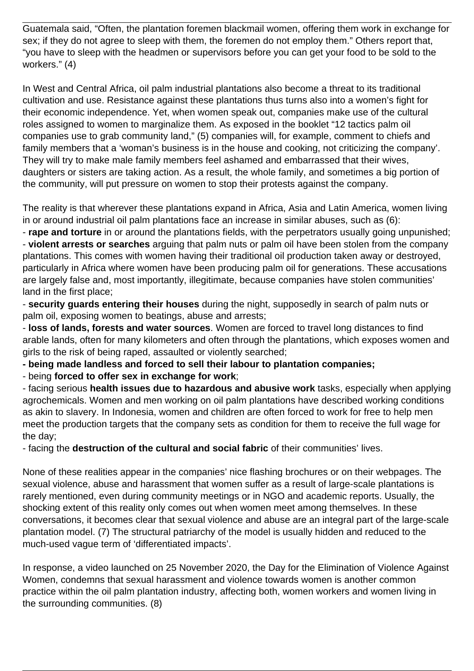Guatemala said, "Often, the plantation foremen blackmail women, offering them work in exchange for sex; if they do not agree to sleep with them, the foremen do not employ them." Others report that, "you have to sleep with the headmen or supervisors before you can get your food to be sold to the workers." (4)

In West and Central Africa, oil palm industrial plantations also become a threat to its traditional cultivation and use. Resistance against these plantations thus turns also into a women's fight for their economic independence. Yet, when women speak out, companies make use of the cultural roles assigned to women to marginalize them. As exposed in the booklet "12 tactics palm oil companies use to grab community land," (5) companies will, for example, comment to chiefs and family members that a 'woman's business is in the house and cooking, not criticizing the company'. They will try to make male family members feel ashamed and embarrassed that their wives, daughters or sisters are taking action. As a result, the whole family, and sometimes a big portion of the community, will put pressure on women to stop their protests against the company.

The reality is that wherever these plantations expand in Africa, Asia and Latin America, women living in or around industrial oil palm plantations face an increase in similar abuses, such as (6):

- **rape and torture** in or around the plantations fields, with the perpetrators usually going unpunished; - **violent arrests or searches** arguing that palm nuts or palm oil have been stolen from the company plantations. This comes with women having their traditional oil production taken away or destroyed, particularly in Africa where women have been producing palm oil for generations. These accusations are largely false and, most importantly, illegitimate, because companies have stolen communities' land in the first place;

- **security guards entering their houses** during the night, supposedly in search of palm nuts or palm oil, exposing women to beatings, abuse and arrests;

- **loss of lands, forests and water sources**. Women are forced to travel long distances to find arable lands, often for many kilometers and often through the plantations, which exposes women and girls to the risk of being raped, assaulted or violently searched;

**- being made landless and forced to sell their labour to plantation companies;**

- being **forced to offer sex in exchange for work**;

- facing serious **health issues due to hazardous and abusive work** tasks, especially when applying agrochemicals. Women and men working on oil palm plantations have described working conditions as akin to slavery. In Indonesia, women and children are often forced to work for free to help men meet the production targets that the company sets as condition for them to receive the full wage for the day;

- facing the **destruction of the cultural and social fabric** of their communities' lives.

None of these realities appear in the companies' nice flashing brochures or on their webpages. The sexual violence, abuse and harassment that women suffer as a result of large-scale plantations is rarely mentioned, even during community meetings or in NGO and academic reports. Usually, the shocking extent of this reality only comes out when women meet among themselves. In these conversations, it becomes clear that sexual violence and abuse are an integral part of the large-scale plantation model. (7) The structural patriarchy of the model is usually hidden and reduced to the much-used vague term of 'differentiated impacts'.

In response, a video launched on 25 November 2020, the Day for the Elimination of Violence Against Women, condemns that sexual harassment and violence towards women is another common practice within the oil palm plantation industry, affecting both, women workers and women living in the surrounding communities. (8)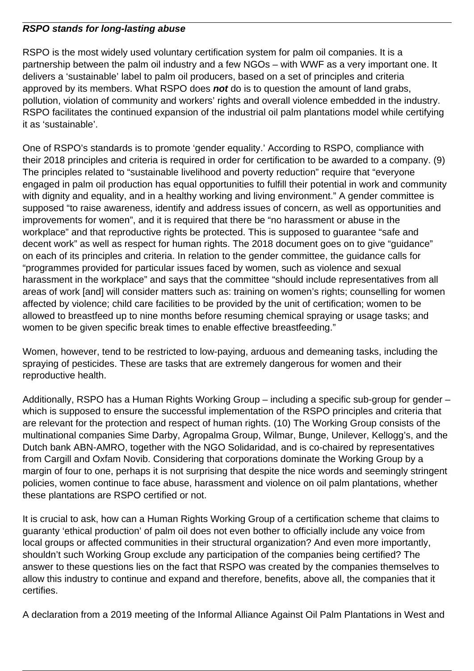## **RSPO stands for long-lasting abuse**

RSPO is the most widely used voluntary certification system for palm oil companies. It is a partnership between the palm oil industry and a few NGOs – with WWF as a very important one. It delivers a 'sustainable' label to palm oil producers, based on a set of principles and criteria approved by its members. What RSPO does **not** do is to question the amount of land grabs, pollution, violation of community and workers' rights and overall violence embedded in the industry. RSPO facilitates the continued expansion of the industrial oil palm plantations model while certifying it as 'sustainable'.

One of RSPO's standards is to promote 'gender equality.' According to RSPO, compliance with their 2018 principles and criteria is required in order for certification to be awarded to a company. (9) The principles related to "sustainable livelihood and poverty reduction" require that "everyone engaged in palm oil production has equal opportunities to fulfill their potential in work and community with dignity and equality, and in a healthy working and living environment." A gender committee is supposed "to raise awareness, identify and address issues of concern, as well as opportunities and improvements for women", and it is required that there be "no harassment or abuse in the workplace" and that reproductive rights be protected. This is supposed to guarantee "safe and decent work" as well as respect for human rights. The 2018 document goes on to give "guidance" on each of its principles and criteria. In relation to the gender committee, the guidance calls for "programmes provided for particular issues faced by women, such as violence and sexual harassment in the workplace" and says that the committee "should include representatives from all areas of work [and] will consider matters such as: training on women's rights; counselling for women affected by violence; child care facilities to be provided by the unit of certification; women to be allowed to breastfeed up to nine months before resuming chemical spraying or usage tasks; and women to be given specific break times to enable effective breastfeeding."

Women, however, tend to be restricted to low-paying, arduous and demeaning tasks, including the spraying of pesticides. These are tasks that are extremely dangerous for women and their reproductive health.

Additionally, RSPO has a Human Rights Working Group – including a specific sub-group for gender – which is supposed to ensure the successful implementation of the RSPO principles and criteria that are relevant for the protection and respect of human rights. (10) The Working Group consists of the multinational companies Sime Darby, Agropalma Group, Wilmar, Bunge, Unilever, Kellogg's, and the Dutch bank ABN-AMRO, together with the NGO Solidaridad, and is co-chaired by representatives from Cargill and Oxfam Novib. Considering that corporations dominate the Working Group by a margin of four to one, perhaps it is not surprising that despite the nice words and seemingly stringent policies, women continue to face abuse, harassment and violence on oil palm plantations, whether these plantations are RSPO certified or not.

It is crucial to ask, how can a Human Rights Working Group of a certification scheme that claims to guaranty 'ethical production' of palm oil does not even bother to officially include any voice from local groups or affected communities in their structural organization? And even more importantly, shouldn't such Working Group exclude any participation of the companies being certified? The answer to these questions lies on the fact that RSPO was created by the companies themselves to allow this industry to continue and expand and therefore, benefits, above all, the companies that it certifies.

A declaration from a 2019 meeting of the Informal Alliance Against Oil Palm Plantations in West and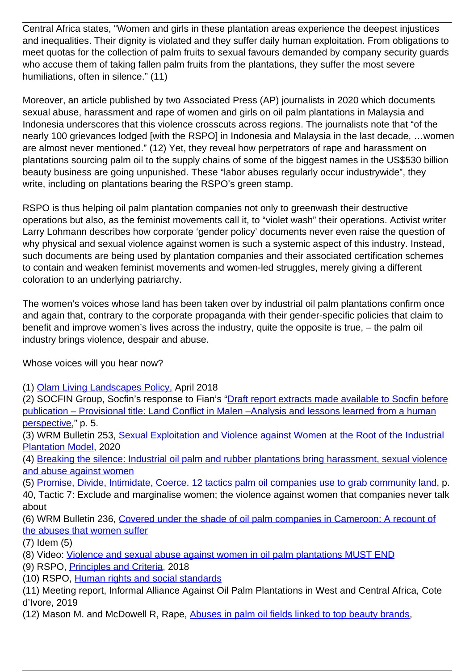Central Africa states, "Women and girls in these plantation areas experience the deepest injustices and inequalities. Their dignity is violated and they suffer daily human exploitation. From obligations to meet quotas for the collection of palm fruits to sexual favours demanded by company security guards who accuse them of taking fallen palm fruits from the plantations, they suffer the most severe humiliations, often in silence." (11)

Moreover, an article published by two Associated Press (AP) journalists in 2020 which documents sexual abuse, harassment and rape of women and girls on oil palm plantations in Malaysia and Indonesia underscores that this violence crosscuts across regions. The journalists note that "of the nearly 100 grievances lodged [with the RSPO] in Indonesia and Malaysia in the last decade, …women are almost never mentioned." (12) Yet, they reveal how perpetrators of rape and harassment on plantations sourcing palm oil to the supply chains of some of the biggest names in the US\$530 billion beauty business are going unpunished. These "labor abuses regularly occur industrywide", they write, including on plantations bearing the RSPO's green stamp.

RSPO is thus helping oil palm plantation companies not only to greenwash their destructive operations but also, as the feminist movements call it, to "violet wash" their operations. Activist writer Larry Lohmann describes how corporate 'gender policy' documents never even raise the question of why physical and sexual violence against women is such a systemic aspect of this industry. Instead, such documents are being used by plantation companies and their associated certification schemes to contain and weaken feminist movements and women-led struggles, merely giving a different coloration to an underlying patriarchy.

The women's voices whose land has been taken over by industrial oil palm plantations confirm once and again that, contrary to the corporate propaganda with their gender-specific policies that claim to benefit and improve women's lives across the industry, quite the opposite is true, – the palm oil industry brings violence, despair and abuse.

Whose voices will you hear now?

(1) [Olam Living Landscapes Policy,](https://wrm.us9.list-manage.com/track/click?u=f91b651f7fecdf835b57dc11d&id=42487bad91&e=08ad7e6520) April 2018

(2) SOCFIN Group, Socfin's response to Fian's "[Draft report extracts made available to Socfin before](https://wrm.us9.list-manage.com/track/click?u=f91b651f7fecdf835b57dc11d&id=d71466f929&e=08ad7e6520) [publication – Provisional title: Land Conflict in Malen –Analysis and lessons learned from a human](https://wrm.us9.list-manage.com/track/click?u=f91b651f7fecdf835b57dc11d&id=d71466f929&e=08ad7e6520) [perspective,](https://wrm.us9.list-manage.com/track/click?u=f91b651f7fecdf835b57dc11d&id=d71466f929&e=08ad7e6520)" p. 5.

(3) WRM Bulletin 253, [Sexual Exploitation and Violence against Women at the Root of the Industrial](https://wrm.us9.list-manage.com/track/click?u=f91b651f7fecdf835b57dc11d&id=d74f5f1083&e=08ad7e6520) [Plantation Model,](https://wrm.us9.list-manage.com/track/click?u=f91b651f7fecdf835b57dc11d&id=d74f5f1083&e=08ad7e6520) 2020

(4) [Breaking the silence: Industrial oil palm and rubber plantations bring harassment, sexual violence](https://wrm.us9.list-manage.com/track/click?u=f91b651f7fecdf835b57dc11d&id=5ab02e4caa&e=08ad7e6520) [and abuse against women](https://wrm.us9.list-manage.com/track/click?u=f91b651f7fecdf835b57dc11d&id=5ab02e4caa&e=08ad7e6520)

(5) [Promise, Divide, Intimidate, Coerce. 12 tactics palm oil companies use to grab community land,](https://wrm.us9.list-manage.com/track/click?u=f91b651f7fecdf835b57dc11d&id=20186cfb8e&e=08ad7e6520) p.

40, Tactic 7: Exclude and marginalise women; the violence against women that companies never talk about

(6) WRM Bulletin 236, [Covered under the shade of oil palm companies in Cameroon: A recount of](https://wrm.us9.list-manage.com/track/click?u=f91b651f7fecdf835b57dc11d&id=53daad7b93&e=08ad7e6520) [the abuses that women suffer](https://wrm.us9.list-manage.com/track/click?u=f91b651f7fecdf835b57dc11d&id=53daad7b93&e=08ad7e6520)

(7) Idem (5)

(8) Video: [Violence and sexual abuse against women in oil palm plantations MUST END](https://wrm.us9.list-manage.com/track/click?u=f91b651f7fecdf835b57dc11d&id=440db3c0f1&e=08ad7e6520)

(9) RSPO, [Principles and Criteria](https://wrm.us9.list-manage.com/track/click?u=f91b651f7fecdf835b57dc11d&id=4656669d55&e=08ad7e6520), 2018

(10) RSPO, [Human rights and social standards](https://wrm.us9.list-manage.com/track/click?u=f91b651f7fecdf835b57dc11d&id=f985b735ef&e=08ad7e6520)

(11) Meeting report, Informal Alliance Against Oil Palm Plantations in West and Central Africa, Cote d'Ivore, 2019

(12) Mason M. and McDowell R, Rape, [Abuses in palm oil fields linked to top beauty brands,](https://wrm.us9.list-manage.com/track/click?u=f91b651f7fecdf835b57dc11d&id=ad53bb20a3&e=08ad7e6520)